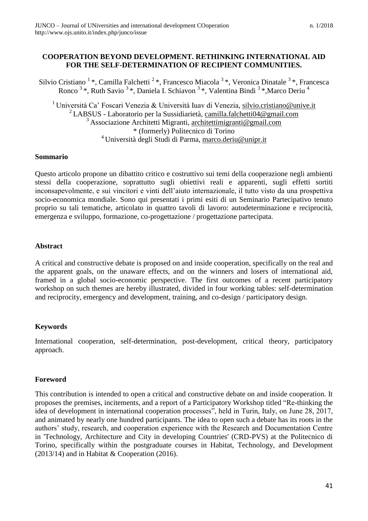# **COOPERATION BEYOND DEVELOPMENT. RETHINKING INTERNATIONAL AID FOR THE SELF-DETERMINATION OF RECIPIENT COMMUNITIES.**

Silvio Cristiano <sup>1</sup>\*, Camilla Falchetti <sup>2</sup>\*, Francesco Miacola <sup>3</sup>\*, Veronica Dinatale <sup>3</sup>\*, Francesca Ronco  $3*$ , Ruth Savio  $3*$ , Daniela I. Schiavon  $3*$ , Valentina Bindi  $3*$ , Marco Deriu  $4$ 

<sup>1</sup> Università Ca' Foscari Venezia & Università Iuav di Venezia, [silvio.cristiano@unive.it](mailto:silvio.cristiano@unive.it) <sup>2</sup>LABSUS - Laboratorio per la Sussidiarietà, [camilla.falchetti04@gmail.com](mailto:camilla.falchetti04@gmail.com) <sup>3</sup> Associazione Architetti Migranti, [architettimigranti@gmail.com](mailto:architettimigranti@gmail.com) \* (formerly) Politecnico di Torino <sup>4</sup> Università degli Studi di Parma, [marco.deriu@unipr.it](mailto:marco.deriu@unipr.it)

## **Sommario**

Questo articolo propone un dibattito critico e costruttivo sui temi della cooperazione negli ambienti stessi della cooperazione, soprattutto sugli obiettivi reali e apparenti, sugli effetti sortiti inconsapevolmente, e sui vincitori e vinti dell'aiuto internazionale, il tutto visto da una prospettiva socio-economica mondiale. Sono qui presentati i primi esiti di un Seminario Partecipativo tenuto proprio su tali tematiche, articolato in quattro tavoli di lavoro: autodeterminazione e reciprocità, emergenza e sviluppo, formazione, co-progettazione / progettazione partecipata.

# **Abstract**

A critical and constructive debate is proposed on and inside cooperation, specifically on the real and the apparent goals, on the unaware effects, and on the winners and losers of international aid, framed in a global socio-economic perspective. The first outcomes of a recent participatory workshop on such themes are hereby illustrated, divided in four working tables: self-determination and reciprocity, emergency and development, training, and co-design / participatory design.

# **Keywords**

International cooperation, self-determination, post-development, critical theory, participatory approach.

# **Foreword**

This contribution is intended to open a critical and constructive debate on and inside cooperation. It proposes the premises, incitements, and a report of a Participatory Workshop titled "Re-thinking the idea of development in international cooperation processes", held in Turin, Italy, on June 28, 2017, and animated by nearly one hundred participants. The idea to open such a debate has its roots in the authors' study, research, and cooperation experience with the Research and Documentation Centre in 'Technology, Architecture and City in developing Countries' (CRD-PVS) at the Politecnico di Torino, specifically within the postgraduate courses in Habitat, Technology, and Development (2013/14) and in Habitat & Cooperation (2016).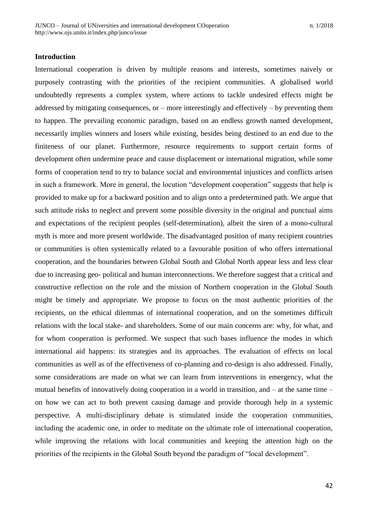### **Introduction**

International cooperation is driven by multiple reasons and interests, sometimes naively or purposely contrasting with the priorities of the recipient communities. A globalised world undoubtedly represents a complex system, where actions to tackle undesired effects might be addressed by mitigating consequences, or – more interestingly and effectively – by preventing them to happen. The prevailing economic paradigm, based on an endless growth named development, necessarily implies winners and losers while existing, besides being destined to an end due to the finiteness of our planet. Furthermore, resource requirements to support certain forms of development often undermine peace and cause displacement or international migration, while some forms of cooperation tend to try to balance social and environmental injustices and conflicts arisen in such a framework. More in general, the locution "development cooperation" suggests that help is provided to make up for a backward position and to align onto a predetermined path. We argue that such attitude risks to neglect and prevent some possible diversity in the original and punctual aims and expectations of the recipient peoples (self-determination), albeit the siren of a mono-cultural myth is more and more present worldwide. The disadvantaged position of many recipient countries or communities is often systemically related to a favourable position of who offers international cooperation, and the boundaries between Global South and Global North appear less and less clear due to increasing geo- political and human interconnections. We therefore suggest that a critical and constructive reflection on the role and the mission of Northern cooperation in the Global South might be timely and appropriate. We propose to focus on the most authentic priorities of the recipients, on the ethical dilemmas of international cooperation, and on the sometimes difficult relations with the local stake- and shareholders. Some of our main concerns are: why, for what, and for whom cooperation is performed. We suspect that such bases influence the modes in which international aid happens: its strategies and its approaches. The evaluation of effects on local communities as well as of the effectiveness of co-planning and co-design is also addressed. Finally, some considerations are made on what we can learn from interventions in emergency, what the mutual benefits of innovatively doing cooperation in a world in transition, and – at the same time – on how we can act to both prevent causing damage and provide thorough help in a systemic perspective. A multi-disciplinary debate is stimulated inside the cooperation communities, including the academic one, in order to meditate on the ultimate role of international cooperation, while improving the relations with local communities and keeping the attention high on the priorities of the recipients in the Global South beyond the paradigm of "local development".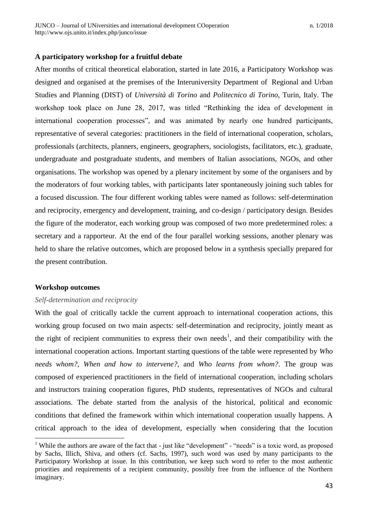### **A participatory workshop for a fruitful debate**

After months of critical theoretical elaboration, started in late 2016, a Participatory Workshop was designed and organised at the premises of the Interuniversity Department of Regional and Urban Studies and Planning (DIST) of *Università di Torino* and *Politecnico di Torino*, Turin, Italy. The workshop took place on June 28, 2017, was titled "Rethinking the idea of development in international cooperation processes", and was animated by nearly one hundred participants, representative of several categories: practitioners in the field of international cooperation, scholars, professionals (architects, planners, engineers, geographers, sociologists, facilitators, etc.), graduate, undergraduate and postgraduate students, and members of Italian associations, NGOs, and other organisations. The workshop was opened by a plenary incitement by some of the organisers and by the moderators of four working tables, with participants later spontaneously joining such tables for a focused discussion. The four different working tables were named as follows: self-determination and reciprocity, emergency and development, training, and co-design / participatory design. Besides the figure of the moderator, each working group was composed of two more predetermined roles: a secretary and a rapporteur. At the end of the four parallel working sessions, another plenary was held to share the relative outcomes, which are proposed below in a synthesis specially prepared for the present contribution.

### **Workshop outcomes**

 $\overline{a}$ 

#### *Self-determination and reciprocity*

With the goal of critically tackle the current approach to international cooperation actions, this working group focused on two main aspects: self-determination and reciprocity, jointly meant as the right of recipient communities to express their own needs<sup>1</sup>, and their compatibility with the international cooperation actions. Important starting questions of the table were represented by *Who needs whom?*, *When and how to intervene?*, and *Who learns from whom?*. The group was composed of experienced practitioners in the field of international cooperation, including scholars and instructors training cooperation figures, PhD students, representatives of NGOs and cultural associations. The debate started from the analysis of the historical, political and economic conditions that defined the framework within which international cooperation usually happens. A critical approach to the idea of development, especially when considering that the locution

<sup>&</sup>lt;sup>1</sup> While the authors are aware of the fact that - just like "development" - "needs" is a toxic word, as proposed by Sachs, Illich, Shiva, and others (cf. Sachs, 1997), such word was used by many participants to the Participatory Workshop at issue. In this contribution, we keep such word to refer to the most authentic priorities and requirements of a recipient community, possibly free from the influence of the Northern imaginary.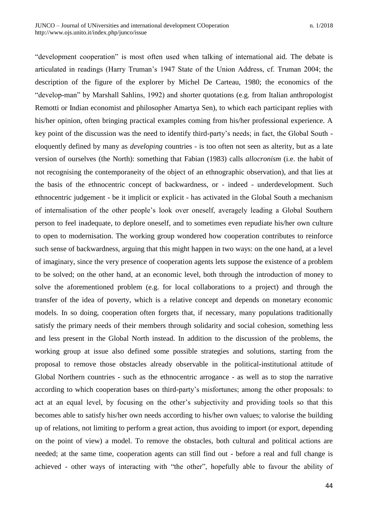"development cooperation" is most often used when talking of international aid. The debate is articulated in readings (Harry Truman's 1947 State of the Union Address, cf. Truman 2004; the description of the figure of the explorer by Michel De Carteau, 1980; the economics of the "develop-man" by Marshall Sahlins, 1992) and shorter quotations (e.g. from Italian anthropologist Remotti or Indian economist and philosopher Amartya Sen), to which each participant replies with his/her opinion, often bringing practical examples coming from his/her professional experience. A key point of the discussion was the need to identify third-party's needs; in fact, the Global South eloquently defined by many as *developing* countries - is too often not seen as alterity, but as a late version of ourselves (the North): something that Fabian (1983) calls *allocronism* (i.e. the habit of not recognising the contemporaneity of the object of an ethnographic observation), and that lies at the basis of the ethnocentric concept of backwardness, or - indeed - underdevelopment. Such ethnocentric judgement - be it implicit or explicit - has activated in the Global South a mechanism of internalisation of the other people's look over oneself, averagely leading a Global Southern person to feel inadequate, to deplore oneself, and to sometimes even repudiate his/her own culture to open to modernisation. The working group wondered how cooperation contributes to reinforce such sense of backwardness, arguing that this might happen in two ways: on the one hand, at a level of imaginary, since the very presence of cooperation agents lets suppose the existence of a problem to be solved; on the other hand, at an economic level, both through the introduction of money to solve the aforementioned problem (e.g. for local collaborations to a project) and through the transfer of the idea of poverty, which is a relative concept and depends on monetary economic models. In so doing, cooperation often forgets that, if necessary, many populations traditionally satisfy the primary needs of their members through solidarity and social cohesion, something less and less present in the Global North instead. In addition to the discussion of the problems, the working group at issue also defined some possible strategies and solutions, starting from the proposal to remove those obstacles already observable in the political-institutional attitude of Global Northern countries - such as the ethnocentric arrogance - as well as to stop the narrative according to which cooperation bases on third-party's misfortunes; among the other proposals: to act at an equal level, by focusing on the other's subjectivity and providing tools so that this becomes able to satisfy his/her own needs according to his/her own values; to valorise the building up of relations, not limiting to perform a great action, thus avoiding to import (or export, depending on the point of view) a model. To remove the obstacles, both cultural and political actions are needed; at the same time, cooperation agents can still find out - before a real and full change is achieved - other ways of interacting with "the other", hopefully able to favour the ability of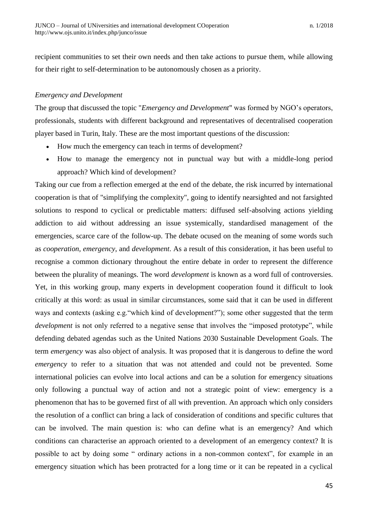recipient communities to set their own needs and then take actions to pursue them, while allowing for their right to self-determination to be autonomously chosen as a priority.

## *Emergency and Development*

The group that discussed the topic "*Emergency and Development*" was formed by NGO's operators, professionals, students with different background and representatives of decentralised cooperation player based in Turin, Italy. These are the most important questions of the discussion:

- How much the emergency can teach in terms of development?
- How to manage the emergency not in punctual way but with a middle-long period approach? Which kind of development?

Taking our cue from a reflection emerged at the end of the debate, the risk incurred by international cooperation is that of "simplifying the complexity", going to identify nearsighted and not farsighted solutions to respond to cyclical or predictable matters: diffused self-absolving actions yielding addiction to aid without addressing an issue systemically, standardised management of the emergencies, scarce care of the follow-up. The debate ocused on the meaning of some words such as *cooperation, emergency*, and *development*. As a result of this consideration, it has been useful to recognise a common dictionary throughout the entire debate in order to represent the difference between the plurality of meanings. The word *development* is known as a word full of controversies. Yet, in this working group, many experts in development cooperation found it difficult to look critically at this word: as usual in similar circumstances, some said that it can be used in different ways and contexts (asking e.g."which kind of development?"); some other suggested that the term *development* is not only referred to a negative sense that involves the "imposed prototype", while defending debated agendas such as the United Nations 2030 Sustainable Development Goals. The term *emergency* was also object of analysis. It was proposed that it is dangerous to define the word *emergency* to refer to a situation that was not attended and could not be prevented. Some international policies can evolve into local actions and can be a solution for emergency situations only following a punctual way of action and not a strategic point of view: emergency is a phenomenon that has to be governed first of all with prevention. An approach which only considers the resolution of a conflict can bring a lack of consideration of conditions and specific cultures that can be involved. The main question is: who can define what is an emergency? And which conditions can characterise an approach oriented to a development of an emergency context? It is possible to act by doing some " ordinary actions in a non-common context", for example in an emergency situation which has been protracted for a long time or it can be repeated in a cyclical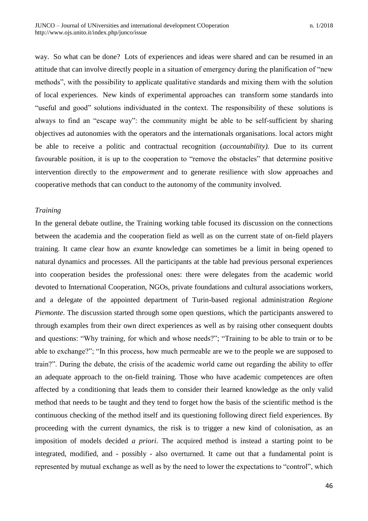way. So what can be done? Lots of experiences and ideas were shared and can be resumed in an attitude that can involve directly people in a situation of emergency during the planification of "new methods", with the possibility to applicate qualitative standards and mixing them with the solution of local experiences. New kinds of experimental approaches can transform some standards into "useful and good" solutions individuated in the context. The responsibility of these solutions is always to find an "escape way": the community might be able to be self-sufficient by sharing objectives ad autonomies with the operators and the internationals organisations. local actors might be able to receive a politic and contractual recognition (*accountability).* Due to its current favourable position, it is up to the cooperation to "remove the obstacles" that determine positive intervention directly to the *empowerment* and to generate resilience with slow approaches and cooperative methods that can conduct to the autonomy of the community involved.

### *Training*

In the general debate outline, the Training working table focused its discussion on the connections between the academia and the cooperation field as well as on the current state of on-field players training. It came clear how an *exante* knowledge can sometimes be a limit in being opened to natural dynamics and processes. All the participants at the table had previous personal experiences into cooperation besides the professional ones: there were delegates from the academic world devoted to International Cooperation, NGOs, private foundations and cultural associations workers, and a delegate of the appointed department of Turin-based regional administration *Regione Piemonte*. The discussion started through some open questions, which the participants answered to through examples from their own direct experiences as well as by raising other consequent doubts and questions: "Why training, for which and whose needs?"; "Training to be able to train or to be able to exchange?"; "In this process, how much permeable are we to the people we are supposed to train?". During the debate, the crisis of the academic world came out regarding the ability to offer an adequate approach to the on-field training. Those who have academic competences are often affected by a conditioning that leads them to consider their learned knowledge as the only valid method that needs to be taught and they tend to forget how the basis of the scientific method is the continuous checking of the method itself and its questioning following direct field experiences. By proceeding with the current dynamics, the risk is to trigger a new kind of colonisation, as an imposition of models decided *a priori*. The acquired method is instead a starting point to be integrated, modified, and - possibly - also overturned. It came out that a fundamental point is represented by mutual exchange as well as by the need to lower the expectations to "control", which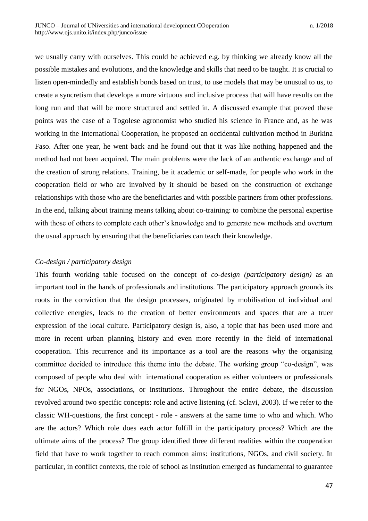we usually carry with ourselves. This could be achieved e.g. by thinking we already know all the possible mistakes and evolutions, and the knowledge and skills that need to be taught. It is crucial to listen open-mindedly and establish bonds based on trust, to use models that may be unusual to us, to create a syncretism that develops a more virtuous and inclusive process that will have results on the long run and that will be more structured and settled in. A discussed example that proved these points was the case of a Togolese agronomist who studied his science in France and, as he was working in the International Cooperation, he proposed an occidental cultivation method in Burkina Faso. After one year, he went back and he found out that it was like nothing happened and the method had not been acquired. The main problems were the lack of an authentic exchange and of the creation of strong relations. Training, be it academic or self-made, for people who work in the cooperation field or who are involved by it should be based on the construction of exchange relationships with those who are the beneficiaries and with possible partners from other professions. In the end, talking about training means talking about co-training: to combine the personal expertise with those of others to complete each other's knowledge and to generate new methods and overturn the usual approach by ensuring that the beneficiaries can teach their knowledge.

## *Co-design / participatory design*

This fourth working table focused on the concept of *co-design (participatory design)* as an important tool in the hands of professionals and institutions. The participatory approach grounds its roots in the conviction that the design processes, originated by mobilisation of individual and collective energies, leads to the creation of better environments and spaces that are a truer expression of the local culture. Participatory design is, also, a topic that has been used more and more in recent urban planning history and even more recently in the field of international cooperation. This recurrence and its importance as a tool are the reasons why the organising committee decided to introduce this theme into the debate. The working group "co-design", was composed of people who deal with international cooperation as either volunteers or professionals for NGOs, NPOs, associations, or institutions. Throughout the entire debate, the discussion revolved around two specific concepts: role and active listening (cf. Sclavi, 2003). If we refer to the classic WH-questions, the first concept - role - answers at the same time to who and which. Who are the actors? Which role does each actor fulfill in the participatory process? Which are the ultimate aims of the process? The group identified three different realities within the cooperation field that have to work together to reach common aims: institutions, NGOs, and civil society. In particular, in conflict contexts, the role of school as institution emerged as fundamental to guarantee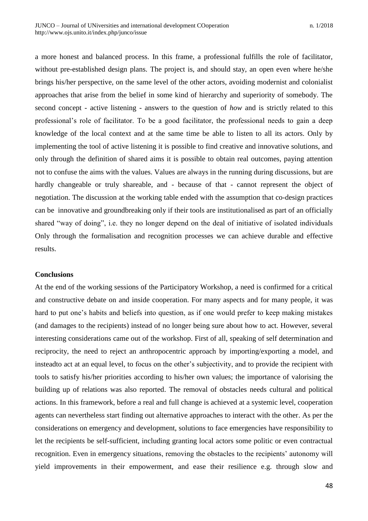a more honest and balanced process. In this frame, a professional fulfills the role of facilitator, without pre-established design plans. The project is, and should stay, an open even where he/she brings his/her perspective, on the same level of the other actors, avoiding modernist and colonialist approaches that arise from the belief in some kind of hierarchy and superiority of somebody. The second concept - active listening - answers to the question of *how* and is strictly related to this professional's role of facilitator. To be a good facilitator, the professional needs to gain a deep knowledge of the local context and at the same time be able to listen to all its actors. Only by implementing the tool of active listening it is possible to find creative and innovative solutions, and only through the definition of shared aims it is possible to obtain real outcomes, paying attention not to confuse the aims with the values. Values are always in the running during discussions, but are hardly changeable or truly shareable, and - because of that - cannot represent the object of negotiation. The discussion at the working table ended with the assumption that co-design practices can be innovative and groundbreaking only if their tools are institutionalised as part of an officially shared "way of doing", i.e. they no longer depend on the deal of initiative of isolated individuals Only through the formalisation and recognition processes we can achieve durable and effective results.

### **Conclusions**

At the end of the working sessions of the Participatory Workshop, a need is confirmed for a critical and constructive debate on and inside cooperation. For many aspects and for many people, it was hard to put one's habits and beliefs into question, as if one would prefer to keep making mistakes (and damages to the recipients) instead of no longer being sure about how to act. However, several interesting considerations came out of the workshop. First of all, speaking of self determination and reciprocity, the need to reject an anthropocentric approach by importing/exporting a model, and insteadto act at an equal level, to focus on the other's subjectivity, and to provide the recipient with tools to satisfy his/her priorities according to his/her own values; the importance of valorising the building up of relations was also reported. The removal of obstacles needs cultural and political actions. In this framework, before a real and full change is achieved at a systemic level, cooperation agents can nevertheless start finding out alternative approaches to interact with the other. As per the considerations on emergency and development, solutions to face emergencies have responsibility to let the recipients be self-sufficient, including granting local actors some politic or even contractual recognition. Even in emergency situations, removing the obstacles to the recipients' autonomy will yield improvements in their empowerment, and ease their resilience e.g. through slow and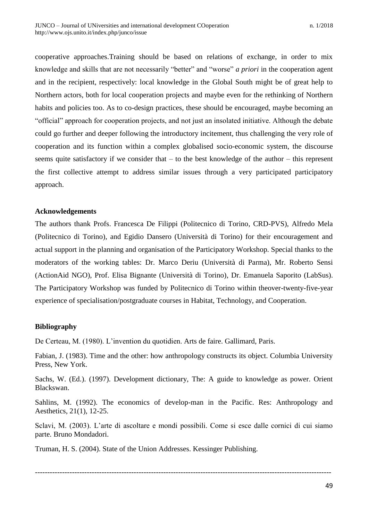cooperative approaches.Training should be based on relations of exchange, in order to mix knowledge and skills that are not necessarily "better" and "worse" *a priori* in the cooperation agent and in the recipient, respectively: local knowledge in the Global South might be of great help to Northern actors, both for local cooperation projects and maybe even for the rethinking of Northern habits and policies too. As to co-design practices, these should be encouraged, maybe becoming an "official" approach for cooperation projects, and not just an insolated initiative. Although the debate could go further and deeper following the introductory incitement, thus challenging the very role of cooperation and its function within a complex globalised socio-economic system, the discourse seems quite satisfactory if we consider that – to the best knowledge of the author – this represent the first collective attempt to address similar issues through a very participated participatory approach.

## **Acknowledgements**

The authors thank Profs. Francesca De Filippi (Politecnico di Torino, CRD-PVS), Alfredo Mela (Politecnico di Torino), and Egidio Dansero (Università di Torino) for their encouragement and actual support in the planning and organisation of the Participatory Workshop. Special thanks to the moderators of the working tables: Dr. Marco Deriu (Università di Parma), Mr. Roberto Sensi (ActionAid NGO), Prof. Elisa Bignante (Università di Torino), Dr. Emanuela Saporito (LabSus). The Participatory Workshop was funded by Politecnico di Torino within theover-twenty-five-year experience of specialisation/postgraduate courses in Habitat, Technology, and Cooperation.

## **Bibliography**

De Certeau, M. (1980). L'invention du quotidien. Arts de faire. Gallimard, Paris.

Fabian, J. (1983). Time and the other: how anthropology constructs its object. Columbia University Press, New York.

Sachs, W. (Ed.). (1997). Development dictionary, The: A guide to knowledge as power. Orient Blackswan.

Sahlins, M. (1992). The economics of develop-man in the Pacific. Res: Anthropology and Aesthetics, 21(1), 12-25.

Sclavi, M. (2003). L'arte di ascoltare e mondi possibili. Come si esce dalle cornici di cui siamo parte. Bruno Mondadori.

------------------------------------------------------------------------------------------------------------------------

Truman, H. S. (2004). State of the Union Addresses. Kessinger Publishing.